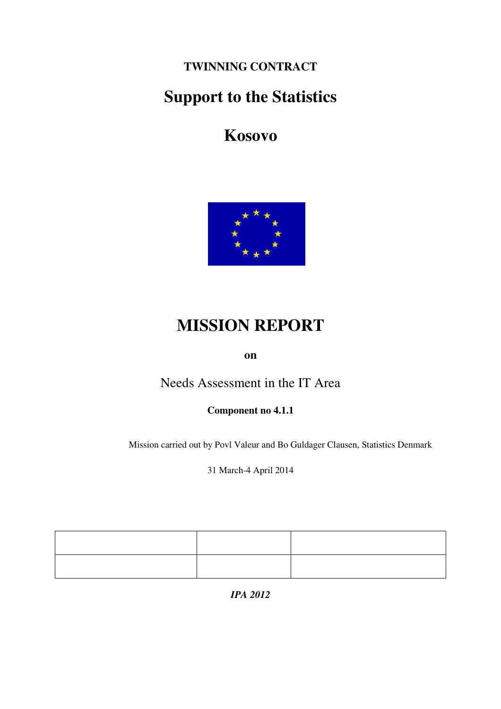**TWINNING CONTRACT** 

# **Support to the Statistics**

**Kosovo** 



# **MISSION REPORT**

**on** 

Needs Assessment in the IT Area

**Component no 4.1.1** 

Mission carried out by Povl Valeur and Bo Guldager Clausen, Statistics Denmark

31 March-4 April 2014

*IPA 2012*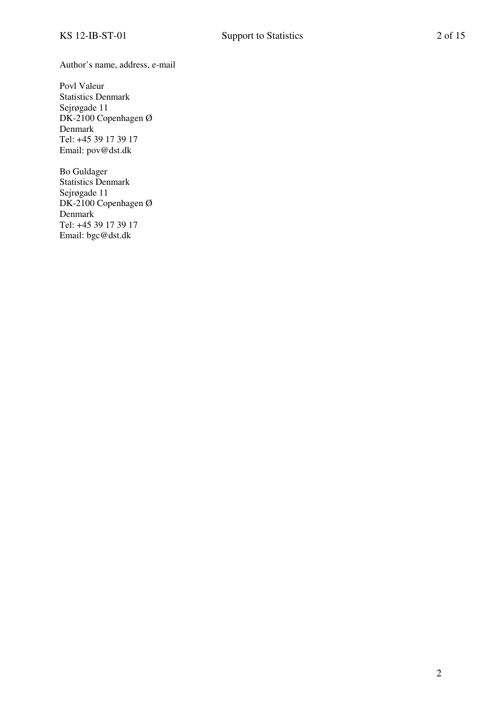Author's name, address, e-mail

Povl Valeur Statistics Denmark Sejrøgade 11 DK-2100 Copenhagen Ø Denmark Tel: +45 39 17 39 17 Email: pov@dst.dk

Bo Guldager Statistics Denmark Sejrøgade 11 DK-2100 Copenhagen Ø Denmark Tel: +45 39 17 39 17 Email: bgc@dst.dk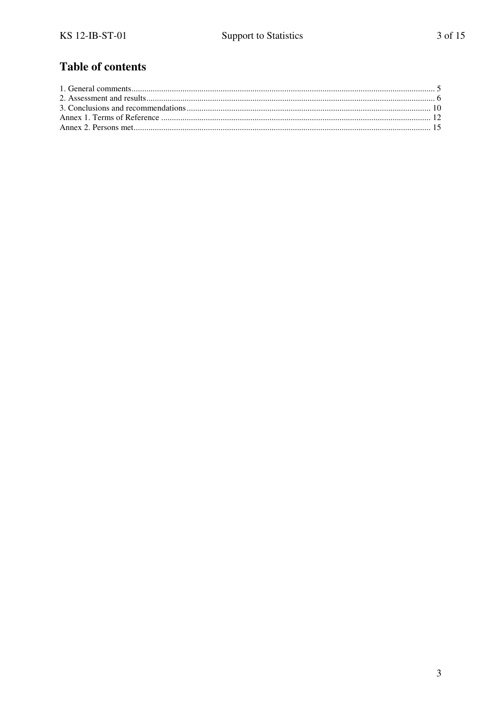## **Table of contents**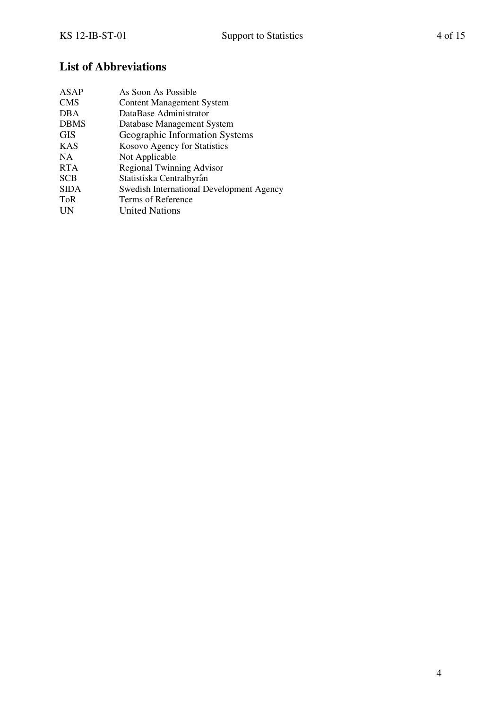## **List of Abbreviations**

| <b>ASAP</b> | As Soon As Possible                             |
|-------------|-------------------------------------------------|
| <b>CMS</b>  | <b>Content Management System</b>                |
| DBA         | DataBase Administrator                          |
| <b>DBMS</b> | Database Management System                      |
| <b>GIS</b>  | Geographic Information Systems                  |
| <b>KAS</b>  | Kosovo Agency for Statistics                    |
| NA.         | Not Applicable                                  |
| <b>RTA</b>  | <b>Regional Twinning Advisor</b>                |
| <b>SCB</b>  | Statistiska Centralbyrån                        |
| <b>SIDA</b> | <b>Swedish International Development Agency</b> |
| ToR         | Terms of Reference                              |
| UN          | <b>United Nations</b>                           |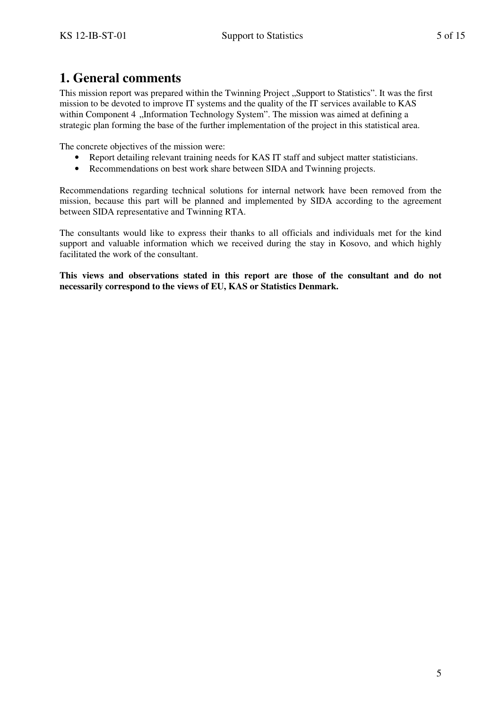## **1. General comments**

This mission report was prepared within the Twinning Project "Support to Statistics". It was the first mission to be devoted to improve IT systems and the quality of the IT services available to KAS within Component 4 "Information Technology System". The mission was aimed at defining a strategic plan forming the base of the further implementation of the project in this statistical area.

The concrete objectives of the mission were:

- Report detailing relevant training needs for KAS IT staff and subject matter statisticians.
- Recommendations on best work share between SIDA and Twinning projects.

Recommendations regarding technical solutions for internal network have been removed from the mission, because this part will be planned and implemented by SIDA according to the agreement between SIDA representative and Twinning RTA.

The consultants would like to express their thanks to all officials and individuals met for the kind support and valuable information which we received during the stay in Kosovo, and which highly facilitated the work of the consultant.

**This views and observations stated in this report are those of the consultant and do not necessarily correspond to the views of EU, KAS or Statistics Denmark.**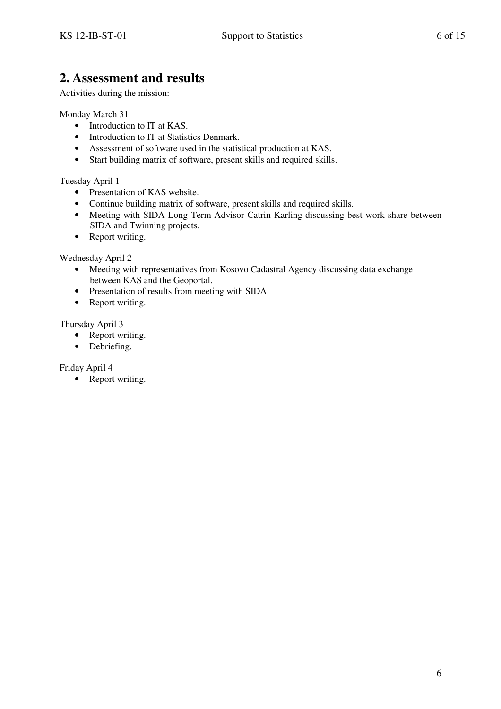## **2. Assessment and results**

Activities during the mission:

Monday March 31

- Introduction to IT at KAS.
- Introduction to IT at Statistics Denmark.
- Assessment of software used in the statistical production at KAS.
- Start building matrix of software, present skills and required skills.

Tuesday April 1

- Presentation of KAS website.
- Continue building matrix of software, present skills and required skills.
- Meeting with SIDA Long Term Advisor Catrin Karling discussing best work share between SIDA and Twinning projects.
- Report writing.

Wednesday April 2

- Meeting with representatives from Kosovo Cadastral Agency discussing data exchange between KAS and the Geoportal.
- Presentation of results from meeting with SIDA.
- Report writing.

Thursday April 3

- Report writing.
- Debriefing.

Friday April 4

• Report writing.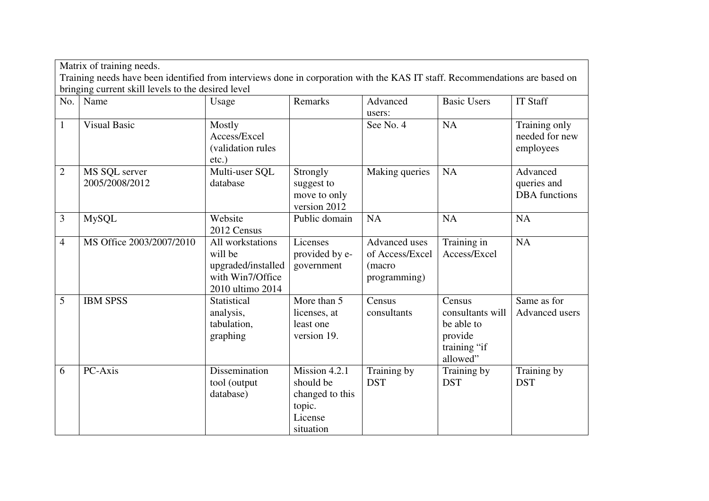|                                                    | Matrix of training needs.                                                                                                   |                                                                                           |                                                                                                      |                                                            |                                                                                 |                                                 |
|----------------------------------------------------|-----------------------------------------------------------------------------------------------------------------------------|-------------------------------------------------------------------------------------------|------------------------------------------------------------------------------------------------------|------------------------------------------------------------|---------------------------------------------------------------------------------|-------------------------------------------------|
|                                                    | Training needs have been identified from interviews done in corporation with the KAS IT staff. Recommendations are based on |                                                                                           |                                                                                                      |                                                            |                                                                                 |                                                 |
| bringing current skill levels to the desired level |                                                                                                                             |                                                                                           |                                                                                                      |                                                            |                                                                                 |                                                 |
| No.                                                | Name                                                                                                                        | Usage                                                                                     | Remarks                                                                                              | Advanced<br>users:                                         | <b>Basic Users</b>                                                              | <b>IT Staff</b>                                 |
| $\mathbf{1}$                                       | <b>Visual Basic</b>                                                                                                         | Mostly<br>Access/Excel<br>(validation rules<br>$etc.$ )                                   |                                                                                                      | See No. 4                                                  | NA                                                                              | Training only<br>needed for new<br>employees    |
| $\overline{2}$                                     | MS SQL server<br>2005/2008/2012                                                                                             | Multi-user SQL<br>database                                                                | Strongly<br>suggest to<br>move to only<br>version 2012                                               | Making queries                                             | <b>NA</b>                                                                       | Advanced<br>queries and<br><b>DBA</b> functions |
| $\overline{3}$                                     | <b>MySQL</b>                                                                                                                | Website<br>2012 Census                                                                    | Public domain                                                                                        | NA                                                         | <b>NA</b>                                                                       | <b>NA</b>                                       |
| $\overline{4}$                                     | MS Office 2003/2007/2010                                                                                                    | All workstations<br>will be<br>upgraded/installed<br>with Win7/Office<br>2010 ultimo 2014 | Licenses<br>provided by e-<br>government                                                             | Advanced uses<br>of Access/Excel<br>(macro<br>programming) | Training in<br>Access/Excel                                                     | <b>NA</b>                                       |
| 5                                                  | <b>IBM SPSS</b>                                                                                                             | Statistical<br>analysis,<br>tabulation,<br>graphing                                       | More than 5<br>licenses, at<br>least one<br>version 19.                                              | Census<br>consultants                                      | Census<br>consultants will<br>be able to<br>provide<br>training "if<br>allowed" | Same as for<br>Advanced users                   |
| 6                                                  | PC-Axis                                                                                                                     | Dissemination<br>tool (output<br>database)                                                | $\overline{\text{Mission } 4.2.1}$<br>should be<br>changed to this<br>topic.<br>License<br>situation | Training by<br><b>DST</b>                                  | Training by<br><b>DST</b>                                                       | Training by<br><b>DST</b>                       |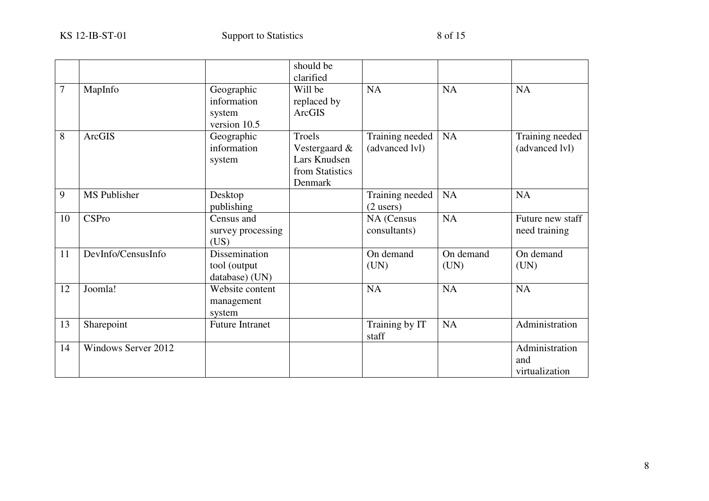|    |                     |                                                     | should be<br>clarified                                                |                                   |                   |                                         |
|----|---------------------|-----------------------------------------------------|-----------------------------------------------------------------------|-----------------------------------|-------------------|-----------------------------------------|
| 7  | MapInfo             | Geographic<br>information<br>system<br>version 10.5 | Will be<br>replaced by<br>ArcGIS                                      | <b>NA</b>                         | <b>NA</b>         | <b>NA</b>                               |
| 8  | <b>ArcGIS</b>       | Geographic<br>information<br>system                 | Troels<br>Vestergaard &<br>Lars Knudsen<br>from Statistics<br>Denmark | Training needed<br>(advanced lvl) | <b>NA</b>         | Training needed<br>(advanced lvl)       |
| 9  | MS Publisher        | Desktop<br>publishing                               |                                                                       | Training needed<br>$(2$ users)    | <b>NA</b>         | <b>NA</b>                               |
| 10 | <b>CSPro</b>        | Census and<br>survey processing<br>(US)             |                                                                       | NA (Census<br>consultants)        | <b>NA</b>         | Future new staff<br>need training       |
| 11 | DevInfo/CensusInfo  | Dissemination<br>tool (output<br>database) (UN)     |                                                                       | On demand<br>(UN)                 | On demand<br>(UN) | On demand<br>(UN)                       |
| 12 | Joomla!             | Website content<br>management<br>system             |                                                                       | <b>NA</b>                         | <b>NA</b>         | <b>NA</b>                               |
| 13 | Sharepoint          | <b>Future Intranet</b>                              |                                                                       | Training by IT<br>staff           | <b>NA</b>         | Administration                          |
| 14 | Windows Server 2012 |                                                     |                                                                       |                                   |                   | Administration<br>and<br>virtualization |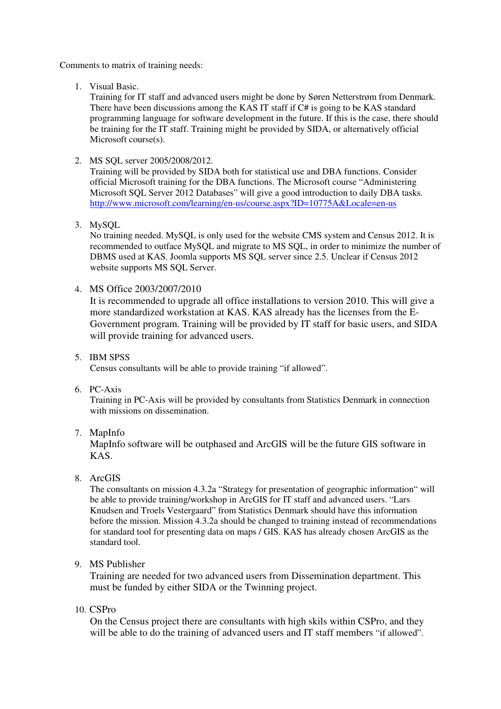Comments to matrix of training needs:

1. Visual Basic.

Training for IT staff and advanced users might be done by Søren Netterstrøm from Denmark. There have been discussions among the KAS IT staff if C# is going to be KAS standard programming language for software development in the future. If this is the case, there should be training for the IT staff. Training might be provided by SIDA, or alternatively official Microsoft course(s).

2. MS SQL server 2005/2008/2012.

Training will be provided by SIDA both for statistical use and DBA functions. Consider official Microsoft training for the DBA functions. The Microsoft course "Administering Microsoft SQL Server 2012 Databases" will give a good introduction to daily DBA tasks. http://www.microsoft.com/learning/en-us/course.aspx?ID=10775A&Locale=en-us

3. MySQL

No training needed. MySQL is only used for the website CMS system and Census 2012. It is recommended to outface MySQL and migrate to MS SQL, in order to minimize the number of DBMS used at KAS. Joomla supports MS SQL server since 2.5. Unclear if Census 2012 website supports MS SQL Server.

4. MS Office 2003/2007/2010

It is recommended to upgrade all office installations to version 2010. This will give a more standardized workstation at KAS. KAS already has the licenses from the E-Government program. Training will be provided by IT staff for basic users, and SIDA will provide training for advanced users.

- 5. IBM SPSS Census consultants will be able to provide training "if allowed".
- 6. PC-Axis

Training in PC-Axis will be provided by consultants from Statistics Denmark in connection with missions on dissemination.

7. MapInfo

MapInfo software will be outphased and ArcGIS will be the future GIS software in KAS.

8. ArcGIS

The consultants on mission 4.3.2a "Strategy for presentation of geographic information" will be able to provide training/workshop in ArcGIS for IT staff and advanced users. "Lars Knudsen and Troels Vestergaard" from Statistics Denmark should have this information before the mission. Mission 4.3.2a should be changed to training instead of recommendations for standard tool for presenting data on maps / GIS. KAS has already chosen ArcGIS as the standard tool.

9. MS Publisher

Training are needed for two advanced users from Dissemination department. This must be funded by either SIDA or the Twinning project.

10. CSPro

On the Census project there are consultants with high skils within CSPro, and they will be able to do the training of advanced users and IT staff members "if allowed".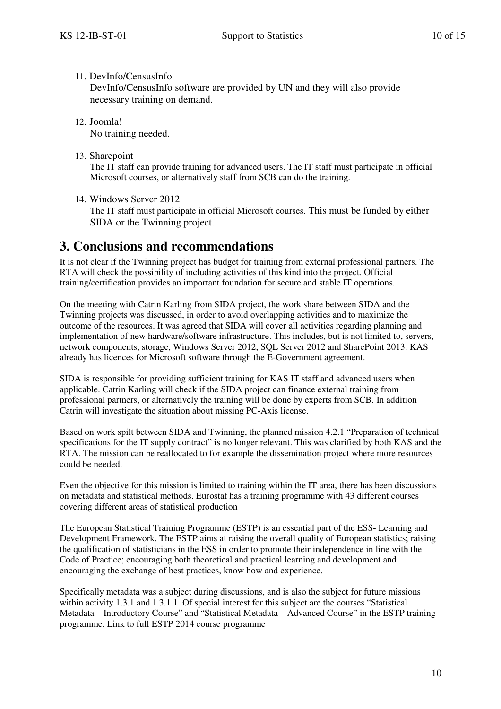### 11. DevInfo/CensusInfo

DevInfo/CensusInfo software are provided by UN and they will also provide necessary training on demand.

- 12. Joomla! No training needed.
- 13. Sharepoint

The IT staff can provide training for advanced users. The IT staff must participate in official Microsoft courses, or alternatively staff from SCB can do the training.

14. Windows Server 2012

The IT staff must participate in official Microsoft courses. This must be funded by either SIDA or the Twinning project.

## **3. Conclusions and recommendations**

It is not clear if the Twinning project has budget for training from external professional partners. The RTA will check the possibility of including activities of this kind into the project. Official training/certification provides an important foundation for secure and stable IT operations.

On the meeting with Catrin Karling from SIDA project, the work share between SIDA and the Twinning projects was discussed, in order to avoid overlapping activities and to maximize the outcome of the resources. It was agreed that SIDA will cover all activities regarding planning and implementation of new hardware/software infrastructure. This includes, but is not limited to, servers, network components, storage, Windows Server 2012, SQL Server 2012 and SharePoint 2013. KAS already has licences for Microsoft software through the E-Government agreement.

SIDA is responsible for providing sufficient training for KAS IT staff and advanced users when applicable. Catrin Karling will check if the SIDA project can finance external training from professional partners, or alternatively the training will be done by experts from SCB. In addition Catrin will investigate the situation about missing PC-Axis license.

Based on work spilt between SIDA and Twinning, the planned mission 4.2.1 "Preparation of technical specifications for the IT supply contract" is no longer relevant. This was clarified by both KAS and the RTA. The mission can be reallocated to for example the dissemination project where more resources could be needed.

Even the objective for this mission is limited to training within the IT area, there has been discussions on metadata and statistical methods. Eurostat has a training programme with 43 different courses covering different areas of statistical production

The European Statistical Training Programme (ESTP) is an essential part of the ESS- Learning and Development Framework. The ESTP aims at raising the overall quality of European statistics; raising the qualification of statisticians in the ESS in order to promote their independence in line with the Code of Practice; encouraging both theoretical and practical learning and development and encouraging the exchange of best practices, know how and experience.

Specifically metadata was a subject during discussions, and is also the subject for future missions within activity 1.3.1 and 1.3.1.1. Of special interest for this subject are the courses "Statistical Metadata – Introductory Course" and "Statistical Metadata – Advanced Course" in the ESTP training programme. Link to full ESTP 2014 course programme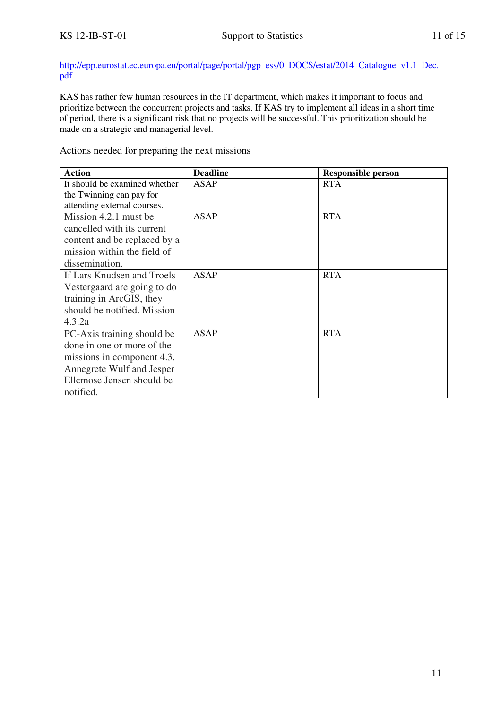http://epp.eurostat.ec.europa.eu/portal/page/portal/pgp\_ess/0\_DOCS/estat/2014\_Catalogue\_v1.1\_Dec. pdf

KAS has rather few human resources in the IT department, which makes it important to focus and prioritize between the concurrent projects and tasks. If KAS try to implement all ideas in a short time of period, there is a significant risk that no projects will be successful. This prioritization should be made on a strategic and managerial level.

Actions needed for preparing the next missions

| <b>Action</b>                 | <b>Deadline</b> | <b>Responsible person</b> |
|-------------------------------|-----------------|---------------------------|
| It should be examined whether | ASAP            | <b>RTA</b>                |
| the Twinning can pay for      |                 |                           |
| attending external courses.   |                 |                           |
| Mission 4.2.1 must be         | <b>ASAP</b>     | <b>RTA</b>                |
| cancelled with its current    |                 |                           |
| content and be replaced by a  |                 |                           |
| mission within the field of   |                 |                           |
| dissemination.                |                 |                           |
| If Lars Knudsen and Troels    | ASAP            | <b>RTA</b>                |
| Vestergaard are going to do   |                 |                           |
| training in ArcGIS, they      |                 |                           |
| should be notified. Mission   |                 |                           |
| 4.3.2a                        |                 |                           |
| PC-Axis training should be    | <b>ASAP</b>     | <b>RTA</b>                |
| done in one or more of the    |                 |                           |
| missions in component 4.3.    |                 |                           |
| Annegrete Wulf and Jesper     |                 |                           |
| Ellemose Jensen should be     |                 |                           |
| notified.                     |                 |                           |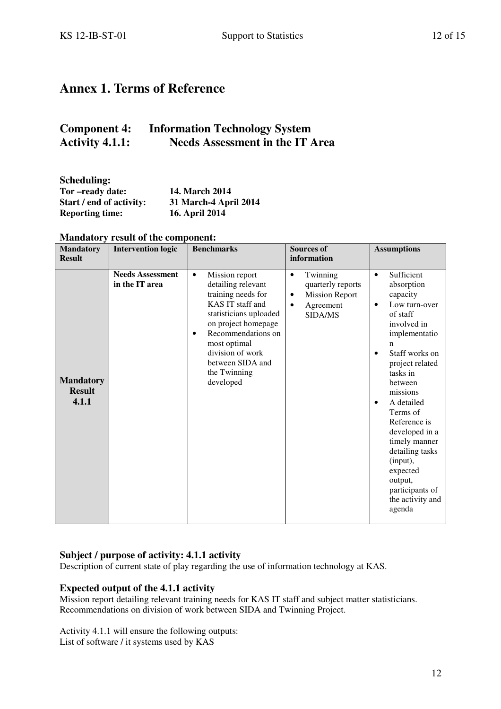## **Annex 1. Terms of Reference**

## **Component 4: Information Technology System Activity 4.1.1: Needs Assessment in the IT Area**

| <b>Scheduling:</b>       |                       |
|--------------------------|-----------------------|
| Tor-ready date:          | 14. March 2014        |
| Start / end of activity: | 31 March-4 April 2014 |
| <b>Reporting time:</b>   | 16. April 2014        |

| <b>Mandatory</b><br><b>Result</b>          | <b>Intervention logic</b>                 | <b>Benchmarks</b>                                                                                                                                                                                                                                                    | <b>Sources of</b><br>information                                                                              | <b>Assumptions</b>                                                                                                                                                                                                                                                                                                                                                                                                     |
|--------------------------------------------|-------------------------------------------|----------------------------------------------------------------------------------------------------------------------------------------------------------------------------------------------------------------------------------------------------------------------|---------------------------------------------------------------------------------------------------------------|------------------------------------------------------------------------------------------------------------------------------------------------------------------------------------------------------------------------------------------------------------------------------------------------------------------------------------------------------------------------------------------------------------------------|
| <b>Mandatory</b><br><b>Result</b><br>4.1.1 | <b>Needs Assessment</b><br>in the IT area | Mission report<br>$\bullet$<br>detailing relevant<br>training needs for<br>KAS IT staff and<br>statisticians uploaded<br>on project homepage<br>Recommendations on<br>$\bullet$<br>most optimal<br>division of work<br>between SIDA and<br>the Twinning<br>developed | Twinning<br>$\bullet$<br>quarterly reports<br><b>Mission Report</b><br>٠<br>Agreement<br>$\bullet$<br>SIDA/MS | Sufficient<br>$\bullet$<br>absorption<br>capacity<br>Low turn-over<br>$\bullet$<br>of staff<br>involved in<br>implementatio<br>n<br>Staff works on<br>$\bullet$<br>project related<br>tasks in<br>between<br>missions<br>A detailed<br>$\bullet$<br>Terms of<br>Reference is<br>developed in a<br>timely manner<br>detailing tasks<br>(input),<br>expected<br>output,<br>participants of<br>the activity and<br>agenda |

## **Mandatory result of the component:**

### **Subject / purpose of activity: 4.1.1 activity**

Description of current state of play regarding the use of information technology at KAS.

### **Expected output of the 4.1.1 activity**

Mission report detailing relevant training needs for KAS IT staff and subject matter statisticians. Recommendations on division of work between SIDA and Twinning Project.

Activity 4.1.1 will ensure the following outputs: List of software / it systems used by KAS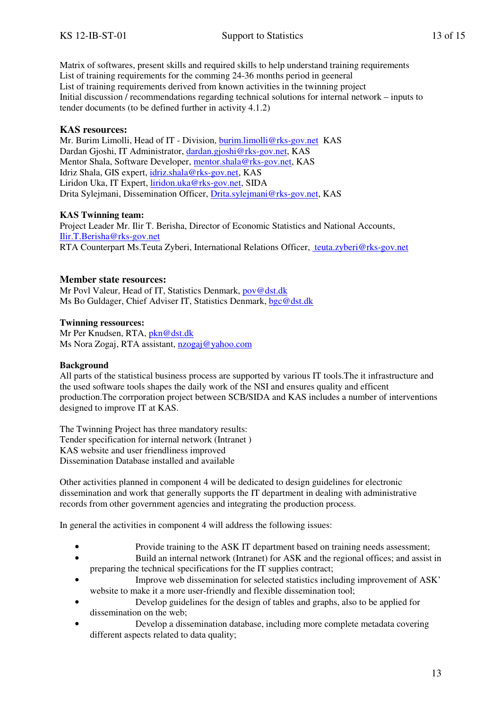Matrix of softwares, present skills and required skills to help understand training requirements List of training requirements for the comming 24-36 months period in geeneral List of training requirements derived from known activities in the twinning project Initial discussion / recommendations regarding technical solutions for internal network – inputs to tender documents (to be defined further in activity 4.1.2)

### **KAS resources:**

Mr. Burim Limolli, Head of IT - Division, burim.limolli@rks-gov.net KAS Dardan Gjoshi, IT Administrator, dardan.gjoshi@rks-gov.net, KAS Mentor Shala, Software Developer, mentor.shala@rks-gov.net, KAS Idriz Shala, GIS expert, idriz.shala@rks-gov.net, KAS Liridon Uka, IT Expert, liridon.uka@rks-gov.net, SIDA Drita Sylejmani, Dissemination Officer, Drita.sylejmani@rks-gov.net, KAS

### **KAS Twinning team:**

Project Leader Mr. Ilir T. Berisha, Director of Economic Statistics and National Accounts, Ilir.T.Berisha@rks-gov.net RTA Counterpart Ms.Teuta Zyberi, International Relations Officer, teuta.zyberi@rks-gov.net

### **Member state resources:**

Mr Povl Valeur, Head of IT, Statistics Denmark, pov@dst.dk Ms Bo Guldager, Chief Adviser IT, Statistics Denmark, bgc@dst.dk

#### **Twinning ressources:**

Mr Per Knudsen, RTA, pkn@dst.dk Ms Nora Zogaj, RTA assistant, nzogaj@yahoo.com

#### **Background**

All parts of the statistical business process are supported by various IT tools.The it infrastructure and the used software tools shapes the daily work of the NSI and ensures quality and efficent production.The corrporation project between SCB/SIDA and KAS includes a number of interventions designed to improve IT at KAS.

The Twinning Project has three mandatory results: Tender specification for internal network (Intranet ) KAS website and user friendliness improved Dissemination Database installed and available

Other activities planned in component 4 will be dedicated to design guidelines for electronic dissemination and work that generally supports the IT department in dealing with administrative records from other government agencies and integrating the production process.

In general the activities in component 4 will address the following issues:

- Provide training to the ASK IT department based on training needs assessment;
- Build an internal network (Intranet) for ASK and the regional offices; and assist in preparing the technical specifications for the IT supplies contract;
- Improve web dissemination for selected statistics including improvement of ASK' website to make it a more user-friendly and flexible dissemination tool;
- Develop guidelines for the design of tables and graphs, also to be applied for dissemination on the web;
- Develop a dissemination database, including more complete metadata covering different aspects related to data quality;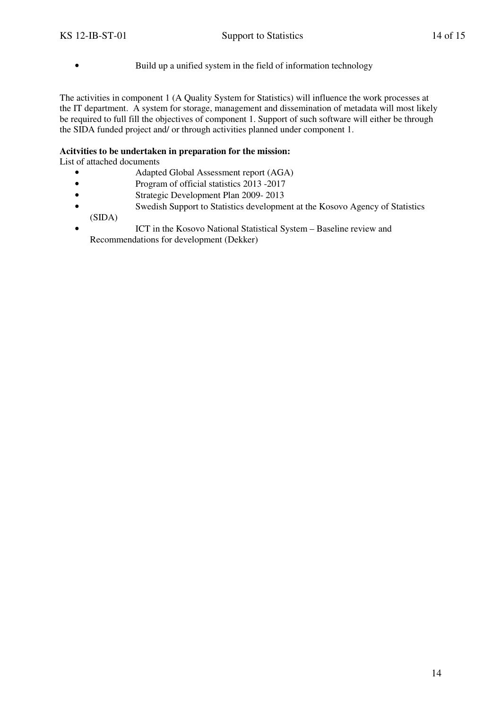- 
- Build up a unified system in the field of information technology

The activities in component 1 (A Quality System for Statistics) will influence the work processes at the IT department. A system for storage, management and dissemination of metadata will most likely be required to full fill the objectives of component 1. Support of such software will either be through the SIDA funded project and/ or through activities planned under component 1.

### **Acitvities to be undertaken in preparation for the mission:**

List of attached documents

- Adapted Global Assessment report (AGA)
- Program of official statistics 2013 -2017
- Strategic Development Plan 2009-2013
- Swedish Support to Statistics development at the Kosovo Agency of Statistics (SIDA)
- ICT in the Kosovo National Statistical System Baseline review and Recommendations for development (Dekker)